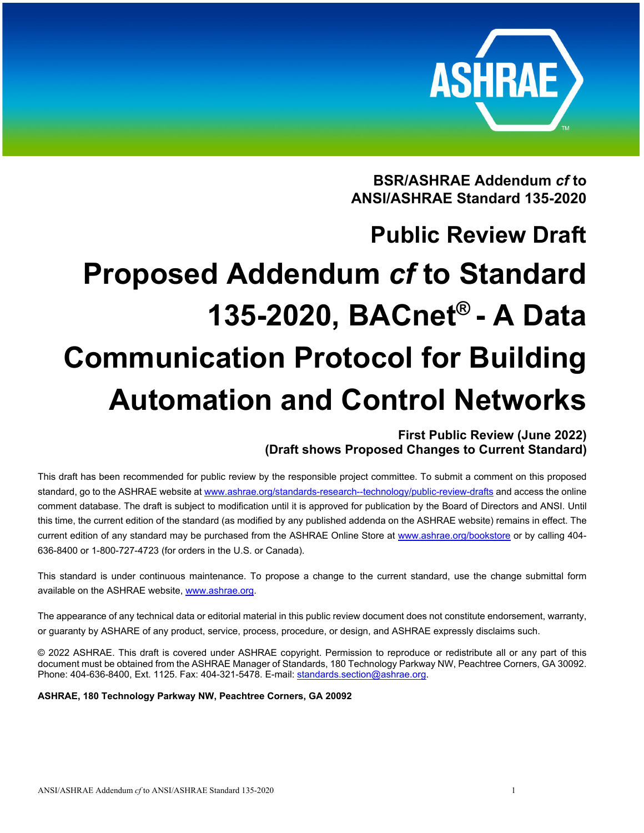

**BSR/ASHRAE Addendum** *cf* **to ANSI/ASHRAE Standard 135-2020** 

# **Public Review Draft Proposed Addendum** *cf* **to Standard 135-2020, BACnet® - A Data Communication Protocol for Building Automation and Control Networks**

# **First Public Review (June 2022) (Draft shows Proposed Changes to Current Standard)**

This draft has been recommended for public review by the responsible project committee. To submit a comment on this proposed standard, go to the ASHRAE website at www.ashrae.org/standards-research--technology/public-review-drafts and access the online comment database. The draft is subject to modification until it is approved for publication by the Board of Directors and ANSI. Until this time, the current edition of the standard (as modified by any published addenda on the ASHRAE website) remains in effect. The current edition of any standard may be purchased from the ASHRAE Online Store at www.ashrae.org/bookstore or by calling 404- 636-8400 or 1-800-727-4723 (for orders in the U.S. or Canada).

This standard is under continuous maintenance. To propose a change to the current standard, use the change submittal form available on the ASHRAE website, www.ashrae.org.

The appearance of any technical data or editorial material in this public review document does not constitute endorsement, warranty, or guaranty by ASHARE of any product, service, process, procedure, or design, and ASHRAE expressly disclaims such.

© 2022 ASHRAE. This draft is covered under ASHRAE copyright. Permission to reproduce or redistribute all or any part of this document must be obtained from the ASHRAE Manager of Standards, 180 Technology Parkway NW, Peachtree Corners, GA 30092. Phone: 404-636-8400, Ext. 1125. Fax: 404-321-5478. E-mail: standards.section@ashrae.org.

**ASHRAE, 180 Technology Parkway NW, Peachtree Corners, GA 20092**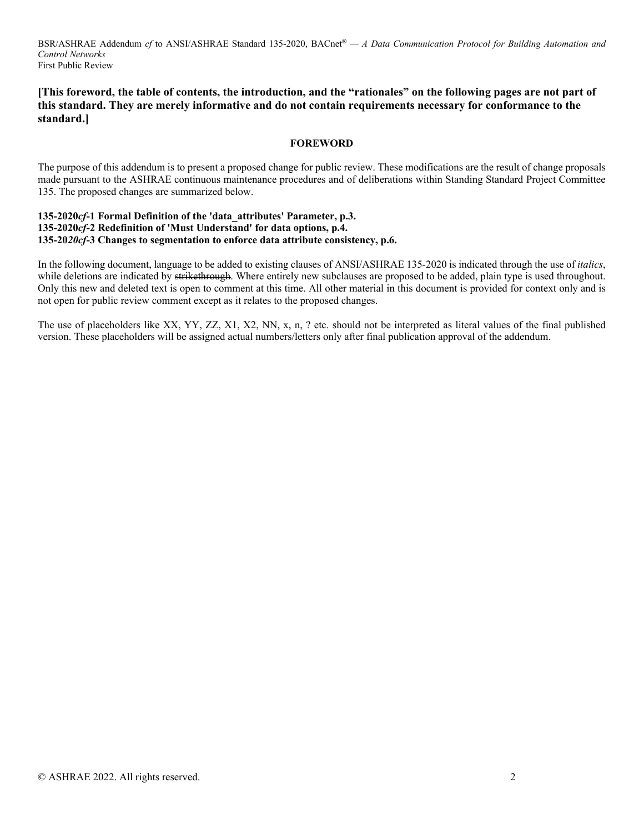# **[This foreword, the table of contents, the introduction, and the "rationales" on the following pages are not part of this standard. They are merely informative and do not contain requirements necessary for conformance to the standard.]**

### **FOREWORD**

The purpose of this addendum is to present a proposed change for public review. These modifications are the result of change proposals made pursuant to the ASHRAE continuous maintenance procedures and of deliberations within Standing Standard Project Committee 135. The proposed changes are summarized below.

# **135-2020***cf***-1 Formal Definition of the 'data\_attributes' Parameter, p.3. 135-2020***cf***-2 Redefinition of 'Must Understand' for data options, p.4. 135-20***20cf***-3 Changes to segmentation to enforce data attribute consistency, p.6.**

In the following document, language to be added to existing clauses of ANSI/ASHRAE 135-2020 is indicated through the use of *italics*, while deletions are indicated by strikethrough. Where entirely new subclauses are proposed to be added, plain type is used throughout. Only this new and deleted text is open to comment at this time. All other material in this document is provided for context only and is not open for public review comment except as it relates to the proposed changes.

The use of placeholders like XX, YY, ZZ, X1, X2, NN, x, n, ? etc. should not be interpreted as literal values of the final published version. These placeholders will be assigned actual numbers/letters only after final publication approval of the addendum.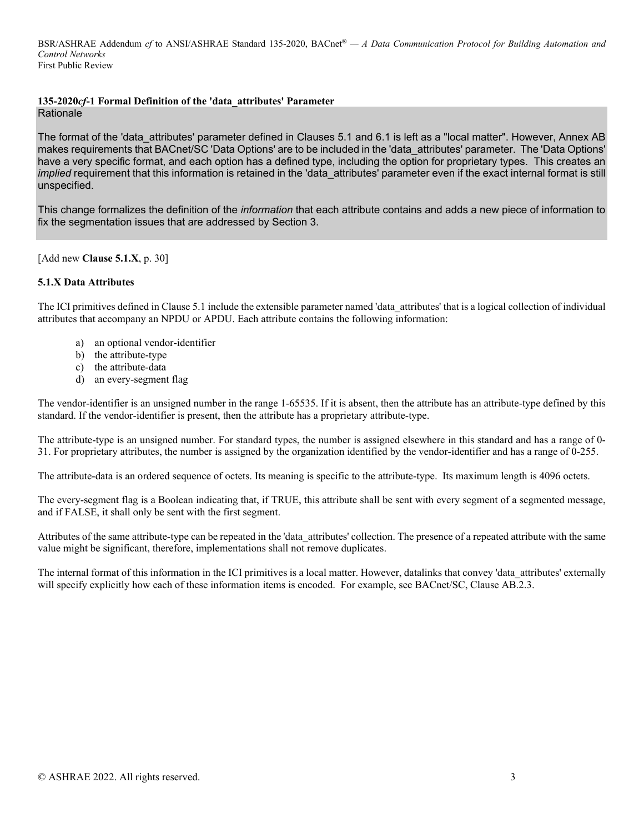# **135-2020***cf***-1 Formal Definition of the 'data\_attributes' Parameter**

Rationale

The format of the 'data attributes' parameter defined in Clauses 5.1 and 6.1 is left as a "local matter". However, Annex AB makes requirements that BACnet/SC 'Data Options' are to be included in the 'data\_attributes' parameter. The 'Data Options' have a very specific format, and each option has a defined type, including the option for proprietary types. This creates an *implied* requirement that this information is retained in the 'data attributes' parameter even if the exact internal format is still unspecified.

This change formalizes the definition of the *information* that each attribute contains and adds a new piece of information to fix the segmentation issues that are addressed by Section 3.

[Add new **Clause 5.1.X**, p. 30]

# **5.1.X Data Attributes**

The ICI primitives defined in Clause 5.1 include the extensible parameter named 'data\_attributes' that is a logical collection of individual attributes that accompany an NPDU or APDU. Each attribute contains the following information:

- a) an optional vendor-identifier
- b) the attribute-type
- c) the attribute-data
- d) an every-segment flag

The vendor-identifier is an unsigned number in the range 1-65535. If it is absent, then the attribute has an attribute-type defined by this standard. If the vendor-identifier is present, then the attribute has a proprietary attribute-type.

The attribute-type is an unsigned number. For standard types, the number is assigned elsewhere in this standard and has a range of 0- 31. For proprietary attributes, the number is assigned by the organization identified by the vendor-identifier and has a range of 0-255.

The attribute-data is an ordered sequence of octets. Its meaning is specific to the attribute-type. Its maximum length is 4096 octets.

The every-segment flag is a Boolean indicating that, if TRUE, this attribute shall be sent with every segment of a segmented message, and if FALSE, it shall only be sent with the first segment.

Attributes of the same attribute-type can be repeated in the 'data\_attributes' collection. The presence of a repeated attribute with the same value might be significant, therefore, implementations shall not remove duplicates.

The internal format of this information in the ICI primitives is a local matter. However, datalinks that convey 'data\_attributes' externally will specify explicitly how each of these information items is encoded. For example, see BACnet/SC, Clause AB.2.3.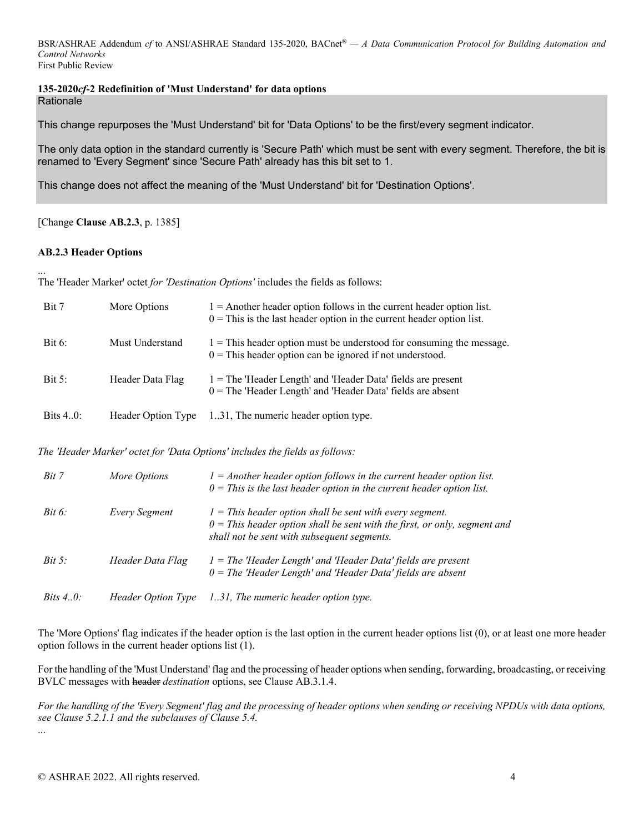# **135-2020***cf***-2 Redefinition of 'Must Understand' for data options Rationale**

This change repurposes the 'Must Understand' bit for 'Data Options' to be the first/every segment indicator.

The only data option in the standard currently is 'Secure Path' which must be sent with every segment. Therefore, the bit is renamed to 'Every Segment' since 'Secure Path' already has this bit set to 1.

This change does not affect the meaning of the 'Must Understand' bit for 'Destination Options'.

[Change **Clause AB.2.3**, p. 1385]

# **AB.2.3 Header Options**

... The 'Header Marker' octet *for 'Destination Options'* includes the fields as follows:

| Bit 7        | More Options       | $1 =$ Another header option follows in the current header option list.<br>$0 =$ This is the last header option in the current header option list. |
|--------------|--------------------|---------------------------------------------------------------------------------------------------------------------------------------------------|
| Bit 6:       | Must Understand    | $1 =$ This header option must be understood for consuming the message.<br>$0 =$ This header option can be ignored if not understood.              |
| Bit 5:       | Header Data Flag   | $1 =$ The 'Header Length' and 'Header Data' fields are present<br>$0 =$ The 'Header Length' and 'Header Data' fields are absent                   |
| Bits $4.0$ : | Header Option Type | 1.31, The numeric header option type.                                                                                                             |

*The 'Header Marker' octet for 'Data Options' includes the fields as follows:* 

| Bit 7               | More Options              | $1 =$ Another header option follows in the current header option list.<br>$0$ = This is the last header option in the current header option list.                                        |
|---------------------|---------------------------|------------------------------------------------------------------------------------------------------------------------------------------------------------------------------------------|
| Bit 6:              | <b>Every Segment</b>      | $1$ = This header option shall be sent with every segment.<br>$0$ = This header option shall be sent with the first, or only, segment and<br>shall not be sent with subsequent segments. |
| Bit 5:              | Header Data Flag          | $I =$ The 'Header Length' and 'Header Data' fields are present<br>$0$ = The 'Header Length' and 'Header Data' fields are absent                                                          |
| <i>Bits</i> $4.0$ : | <i>Header Option Type</i> | 1.31, The numeric header option type.                                                                                                                                                    |

The 'More Options' flag indicates if the header option is the last option in the current header options list (0), or at least one more header option follows in the current header options list (1).

For the handling of the 'Must Understand' flag and the processing of header options when sending, forwarding, broadcasting, or receiving BVLC messages with header *destination* options, see Clause AB.3.1.4.

*For the handling of the 'Every Segment' flag and the processing of header options when sending or receiving NPDUs with data options, see Clause 5.2.1.1 and the subclauses of Clause 5.4.*  ...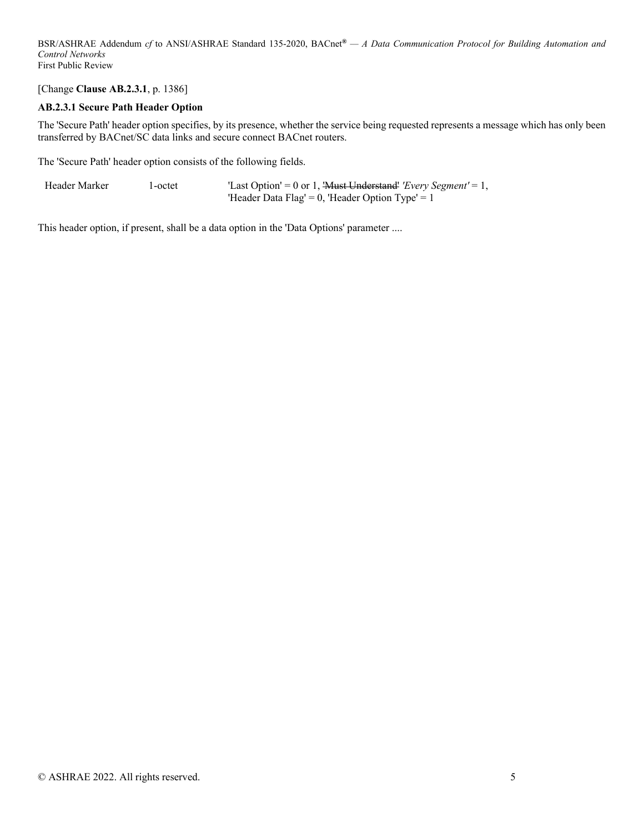[Change **Clause AB.2.3.1**, p. 1386]

# **AB.2.3.1 Secure Path Header Option**

The 'Secure Path' header option specifies, by its presence, whether the service being requested represents a message which has only been transferred by BACnet/SC data links and secure connect BACnet routers.

The 'Secure Path' header option consists of the following fields.

| Header Marker | l-octet | "Last Option' = 0 or 1, 'Must Understand' 'Every Segment' = 1, |
|---------------|---------|----------------------------------------------------------------|
|               |         | 'Header Data Flag' = 0, 'Header Option Type' = 1               |

This header option, if present, shall be a data option in the 'Data Options' parameter ....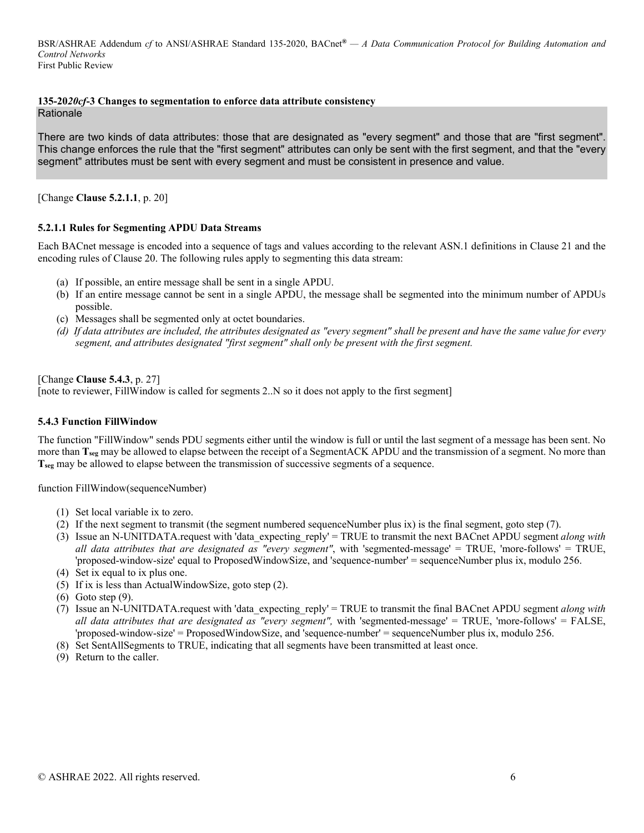### **135-20***20cf***-3 Changes to segmentation to enforce data attribute consistency**

Rationale

There are two kinds of data attributes: those that are designated as "every segment" and those that are "first segment". This change enforces the rule that the "first segment" attributes can only be sent with the first segment, and that the "every segment" attributes must be sent with every segment and must be consistent in presence and value.

[Change **Clause 5.2.1.1**, p. 20]

#### **5.2.1.1 Rules for Segmenting APDU Data Streams**

Each BACnet message is encoded into a sequence of tags and values according to the relevant ASN.1 definitions in Clause 21 and the encoding rules of Clause 20. The following rules apply to segmenting this data stream:

- (a) If possible, an entire message shall be sent in a single APDU.
- (b) If an entire message cannot be sent in a single APDU, the message shall be segmented into the minimum number of APDUs possible.
- (c) Messages shall be segmented only at octet boundaries.
- *(d) If data attributes are included, the attributes designated as "every segment" shall be present and have the same value for every segment, and attributes designated "first segment" shall only be present with the first segment.*

[Change **Clause 5.4.3**, p. 27]

[note to reviewer, FillWindow is called for segments 2..N so it does not apply to the first segment]

#### **5.4.3 Function FillWindow**

The function "FillWindow" sends PDU segments either until the window is full or until the last segment of a message has been sent. No more than **T**<sub>seg</sub> may be allowed to elapse between the receipt of a SegmentACK APDU and the transmission of a segment. No more than **Tseg** may be allowed to elapse between the transmission of successive segments of a sequence.

function FillWindow(sequenceNumber)

- (1) Set local variable ix to zero.
- (2) If the next segment to transmit (the segment numbered sequenceNumber plus ix) is the final segment, goto step (7).
- (3) Issue an N-UNITDATA.request with 'data\_expecting\_reply' = TRUE to transmit the next BACnet APDU segment *along with all data attributes that are designated as "every segment"*, with 'segmented-message' = TRUE, 'more-follows' = TRUE, 'proposed-window-size' equal to ProposedWindowSize, and 'sequence-number' = sequenceNumber plus ix, modulo 256.
- (4) Set ix equal to ix plus one.
- (5) If ix is less than ActualWindowSize, goto step (2).
- (6) Goto step (9).
- (7) Issue an N-UNITDATA.request with 'data\_expecting\_reply' = TRUE to transmit the final BACnet APDU segment *along with*  all data attributes that are designated as "every segment", with 'segmented-message' = TRUE, 'more-follows' = FALSE, 'proposed-window-size' = ProposedWindowSize, and 'sequence-number' = sequenceNumber plus ix, modulo 256.
- (8) Set SentAllSegments to TRUE, indicating that all segments have been transmitted at least once.
- (9) Return to the caller.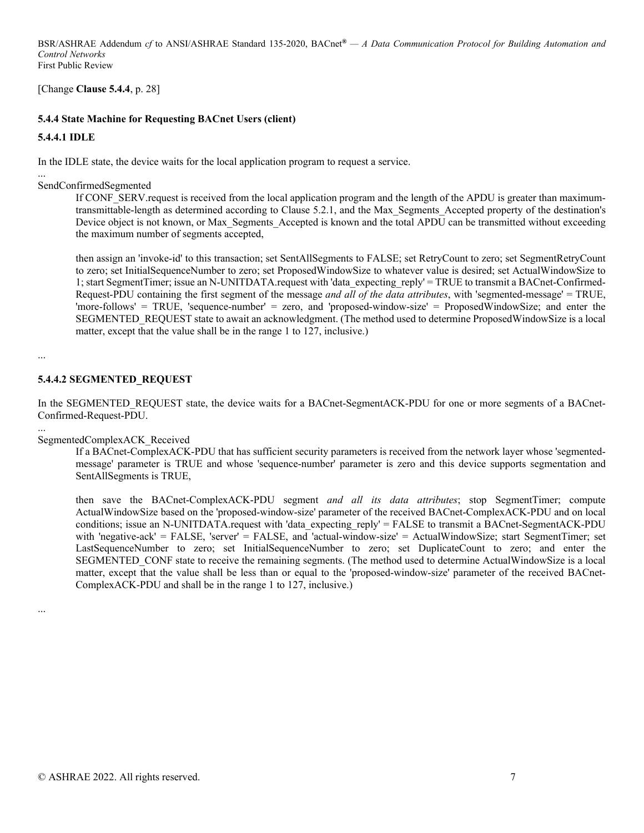[Change **Clause 5.4.4**, p. 28]

# **5.4.4 State Machine for Requesting BACnet Users (client)**

#### **5.4.4.1 IDLE**

...

In the IDLE state, the device waits for the local application program to request a service.

SendConfirmedSegmented

If CONF\_SERV.request is received from the local application program and the length of the APDU is greater than maximumtransmittable-length as determined according to Clause 5.2.1, and the Max\_Segments\_Accepted property of the destination's Device object is not known, or Max Segments Accepted is known and the total APDU can be transmitted without exceeding the maximum number of segments accepted,

then assign an 'invoke-id' to this transaction; set SentAllSegments to FALSE; set RetryCount to zero; set SegmentRetryCount to zero; set InitialSequenceNumber to zero; set ProposedWindowSize to whatever value is desired; set ActualWindowSize to 1; start SegmentTimer; issue an N-UNITDATA.request with 'data\_expecting\_reply' = TRUE to transmit a BACnet-Confirmed-Request-PDU containing the first segment of the message *and all of the data attributes*, with 'segmented-message' = TRUE, 'more-follows' = TRUE, 'sequence-number' = zero, and 'proposed-window-size' = ProposedWindowSize; and enter the SEGMENTED\_REQUEST state to await an acknowledgment. (The method used to determine ProposedWindowSize is a local matter, except that the value shall be in the range 1 to 127, inclusive.)

...

#### **5.4.4.2 SEGMENTED\_REQUEST**

In the SEGMENTED\_REQUEST state, the device waits for a BACnet-SegmentACK-PDU for one or more segments of a BACnet-Confirmed-Request-PDU.

...

#### SegmentedComplexACK\_Received

If a BACnet-ComplexACK-PDU that has sufficient security parameters is received from the network layer whose 'segmentedmessage' parameter is TRUE and whose 'sequence-number' parameter is zero and this device supports segmentation and SentAllSegments is TRUE,

then save the BACnet-ComplexACK-PDU segment *and all its data attributes*; stop SegmentTimer; compute ActualWindowSize based on the 'proposed-window-size' parameter of the received BACnet-ComplexACK-PDU and on local conditions; issue an N-UNITDATA.request with 'data\_expecting\_reply' = FALSE to transmit a BACnet-SegmentACK-PDU with 'negative-ack' = FALSE, 'server' = FALSE, and 'actual-window-size' = ActualWindowSize; start SegmentTimer; set LastSequenceNumber to zero; set InitialSequenceNumber to zero; set DuplicateCount to zero; and enter the SEGMENTED\_CONF state to receive the remaining segments. (The method used to determine ActualWindowSize is a local matter, except that the value shall be less than or equal to the 'proposed-window-size' parameter of the received BACnet-ComplexACK-PDU and shall be in the range 1 to 127, inclusive.)

...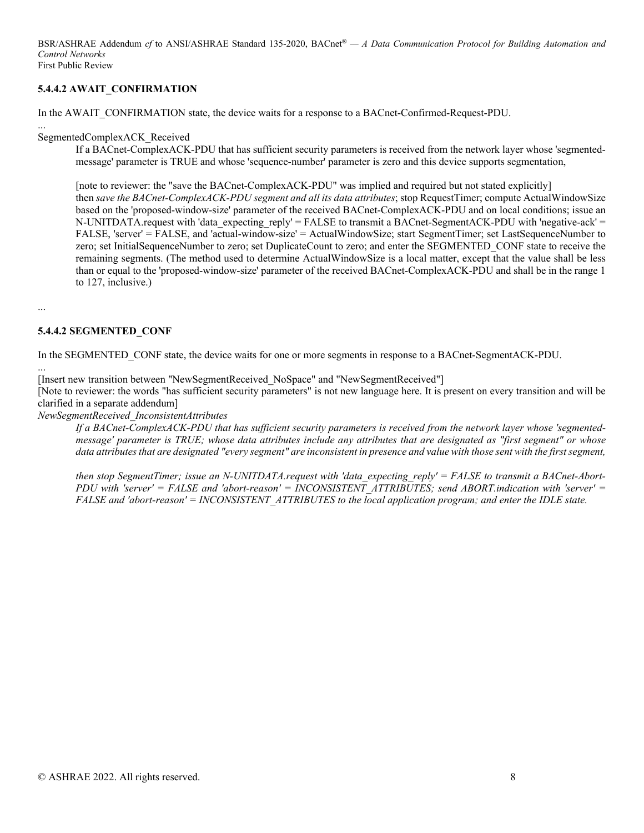# **5.4.4.2 AWAIT\_CONFIRMATION**

In the AWAIT\_CONFIRMATION state, the device waits for a response to a BACnet-Confirmed-Request-PDU.

... SegmentedComplexACK\_Received

> If a BACnet-ComplexACK-PDU that has sufficient security parameters is received from the network layer whose 'segmentedmessage' parameter is TRUE and whose 'sequence-number' parameter is zero and this device supports segmentation,

[note to reviewer: the "save the BACnet-ComplexACK-PDU" was implied and required but not stated explicitly]

then *save the BACnet-ComplexACK-PDU segment and all its data attributes*; stop RequestTimer; compute ActualWindowSize based on the 'proposed-window-size' parameter of the received BACnet-ComplexACK-PDU and on local conditions; issue an N-UNITDATA.request with 'data\_expecting\_reply' = FALSE to transmit a BACnet-SegmentACK-PDU with 'negative-ack' = FALSE, 'server' = FALSE, and 'actual-window-size' = ActualWindowSize; start SegmentTimer; set LastSequenceNumber to zero; set InitialSequenceNumber to zero; set DuplicateCount to zero; and enter the SEGMENTED\_CONF state to receive the remaining segments. (The method used to determine ActualWindowSize is a local matter, except that the value shall be less than or equal to the 'proposed-window-size' parameter of the received BACnet-ComplexACK-PDU and shall be in the range 1 to 127, inclusive.)

...

...

#### **5.4.4.2 SEGMENTED\_CONF**

In the SEGMENTED CONF state, the device waits for one or more segments in response to a BACnet-SegmentACK-PDU.

[Insert new transition between "NewSegmentReceived\_NoSpace" and "NewSegmentReceived"]

[Note to reviewer: the words "has sufficient security parameters" is not new language here. It is present on every transition and will be clarified in a separate addendum]

*NewSegmentReceived\_InconsistentAttributes* 

*If a BACnet-ComplexACK-PDU that has sufficient security parameters is received from the network layer whose 'segmentedmessage' parameter is TRUE; whose data attributes include any attributes that are designated as "first segment" or whose data attributes that are designated "every segment" are inconsistent in presence and value with those sent with the first segment,* 

*then stop SegmentTimer; issue an N-UNITDATA.request with 'data\_expecting\_reply' = FALSE to transmit a BACnet-Abort-PDU with 'server' = FALSE and 'abort-reason' = INCONSISTENT ATTRIBUTES; send ABORT.indication with 'server' = FALSE and 'abort-reason' = INCONSISTENT\_ATTRIBUTES to the local application program; and enter the IDLE state.*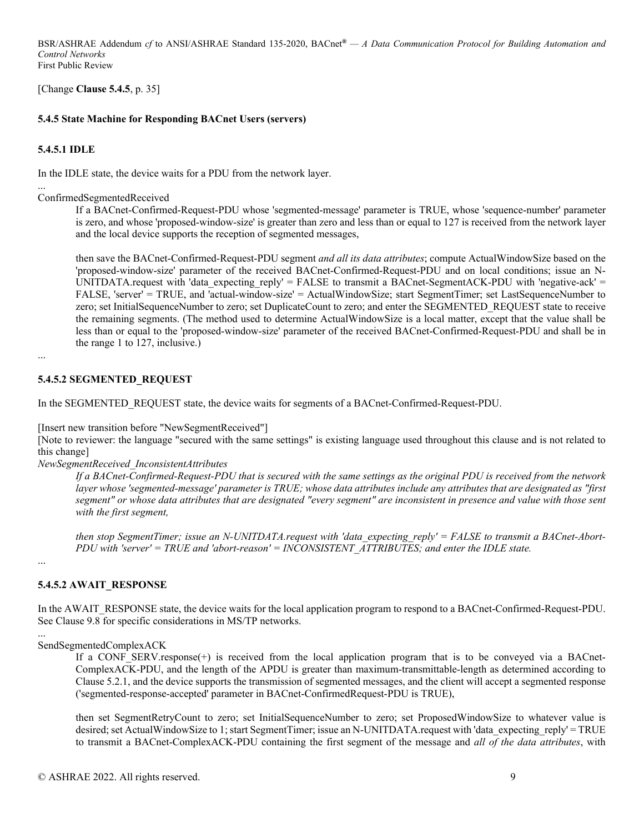[Change **Clause 5.4.5**, p. 35]

# **5.4.5 State Machine for Responding BACnet Users (servers)**

# **5.4.5.1 IDLE**

In the IDLE state, the device waits for a PDU from the network layer.

... ConfirmedSegmentedReceived

> If a BACnet-Confirmed-Request-PDU whose 'segmented-message' parameter is TRUE, whose 'sequence-number' parameter is zero, and whose 'proposed-window-size' is greater than zero and less than or equal to 127 is received from the network layer and the local device supports the reception of segmented messages,

> then save the BACnet-Confirmed-Request-PDU segment *and all its data attributes*; compute ActualWindowSize based on the 'proposed-window-size' parameter of the received BACnet-Confirmed-Request-PDU and on local conditions; issue an N-UNITDATA.request with 'data\_expecting\_reply' = FALSE to transmit a BACnet-SegmentACK-PDU with 'negative-ack' = FALSE, 'server' = TRUE, and 'actual-window-size' = ActualWindowSize; start SegmentTimer; set LastSequenceNumber to zero; set InitialSequenceNumber to zero; set DuplicateCount to zero; and enter the SEGMENTED\_REQUEST state to receive the remaining segments. (The method used to determine ActualWindowSize is a local matter, except that the value shall be less than or equal to the 'proposed-window-size' parameter of the received BACnet-Confirmed-Request-PDU and shall be in the range 1 to 127, inclusive.)

...

# **5.4.5.2 SEGMENTED\_REQUEST**

In the SEGMENTED\_REQUEST state, the device waits for segments of a BACnet-Confirmed-Request-PDU.

[Insert new transition before "NewSegmentReceived"]

[Note to reviewer: the language "secured with the same settings" is existing language used throughout this clause and is not related to this change]

*NewSegmentReceived\_InconsistentAttributes* 

*If a BACnet-Confirmed-Request-PDU that is secured with the same settings as the original PDU is received from the network layer whose 'segmented-message' parameter is TRUE; whose data attributes include any attributes that are designated as "first segment" or whose data attributes that are designated "every segment" are inconsistent in presence and value with those sent with the first segment,* 

*then stop SegmentTimer; issue an N-UNITDATA.request with 'data\_expecting\_reply' = FALSE to transmit a BACnet-Abort-PDU with 'server' = TRUE and 'abort-reason' = INCONSISTENT\_ATTRIBUTES; and enter the IDLE state.* 

...

# **5.4.5.2 AWAIT\_RESPONSE**

In the AWAIT\_RESPONSE state, the device waits for the local application program to respond to a BACnet-Confirmed-Request-PDU. See Clause 9.8 for specific considerations in MS/TP networks.

...

SendSegmentedComplexACK

If a CONF SERV.response(+) is received from the local application program that is to be conveyed via a BACnet-ComplexACK-PDU, and the length of the APDU is greater than maximum-transmittable-length as determined according to Clause 5.2.1, and the device supports the transmission of segmented messages, and the client will accept a segmented response ('segmented-response-accepted' parameter in BACnet-ConfirmedRequest-PDU is TRUE),

then set SegmentRetryCount to zero; set InitialSequenceNumber to zero; set ProposedWindowSize to whatever value is desired; set ActualWindowSize to 1; start SegmentTimer; issue an N-UNITDATA.request with 'data\_expecting\_reply' = TRUE to transmit a BACnet-ComplexACK-PDU containing the first segment of the message and *all of the data attributes*, with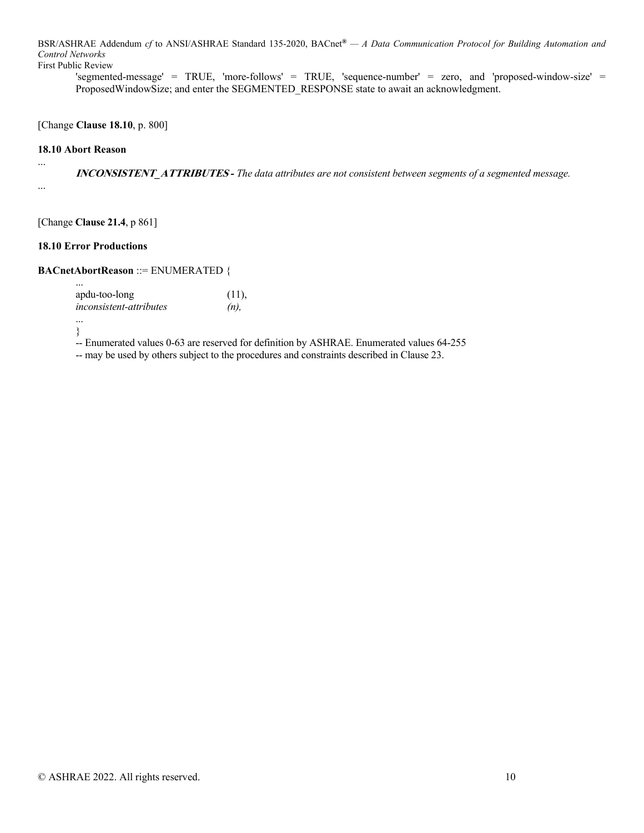'segmented-message' = TRUE, 'more-follows' = TRUE, 'sequence-number' = zero, and 'proposed-window-size' = ProposedWindowSize; and enter the SEGMENTED\_RESPONSE state to await an acknowledgment.

[Change **Clause 18.10**, p. 800]

#### **18.10 Abort Reason**

...

...

**INCONSISTENT\_ATTRIBUTES** *- The data attributes are not consistent between segments of a segmented message.*

[Change **Clause 21.4**, p 861]

#### **18.10 Error Productions**

### **BACnetAbortReason** ::= ENUMERATED {

| $\cdots$                       |       |
|--------------------------------|-------|
| apdu-too-long                  | (11), |
| <i>inconsistent-attributes</i> | (n)   |
|                                |       |

}

-- Enumerated values 0-63 are reserved for definition by ASHRAE. Enumerated values 64-255 -- may be used by others subject to the procedures and constraints described in Clause 23.